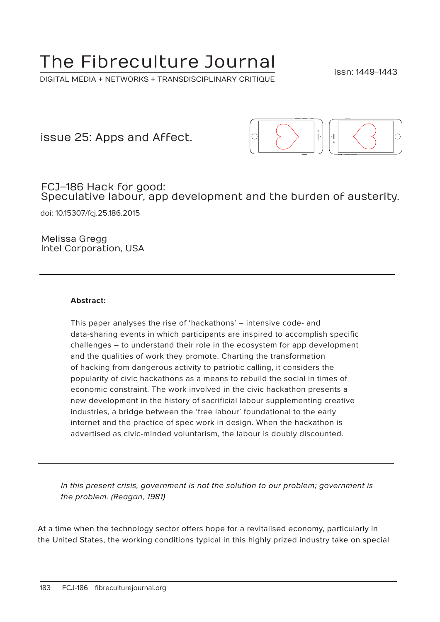# The Fibreculture Journal

DIGITAL MEDIA + NETWORKS + TRANSDISCIPLINARY CRITIQUE

issn: 1449-1443

issue 25: Apps and Affect.



FCJ–186 Hack for good: Speculative labour, app development and the burden of austerity.

doi: 10.15307/fcj.25.186.2015

Melissa Gregg Intel Corporation, USA

#### **Abstract:**

This paper analyses the rise of 'hackathons' – intensive code- and data-sharing events in which participants are inspired to accomplish specific challenges – to understand their role in the ecosystem for app development and the qualities of work they promote. Charting the transformation of hacking from dangerous activity to patriotic calling, it considers the popularity of civic hackathons as a means to rebuild the social in times of economic constraint. The work involved in the civic hackathon presents a new development in the history of sacrificial labour supplementing creative industries, a bridge between the 'free labour' foundational to the early internet and the practice of spec work in design. When the hackathon is advertised as civic-minded voluntarism, the labour is doubly discounted.

In this present crisis, government is not the solution to our problem; government is the problem. (Reagan, 1981)

At a time when the technology sector offers hope for a revitalised economy, particularly in the United States, the working conditions typical in this highly prized industry take on special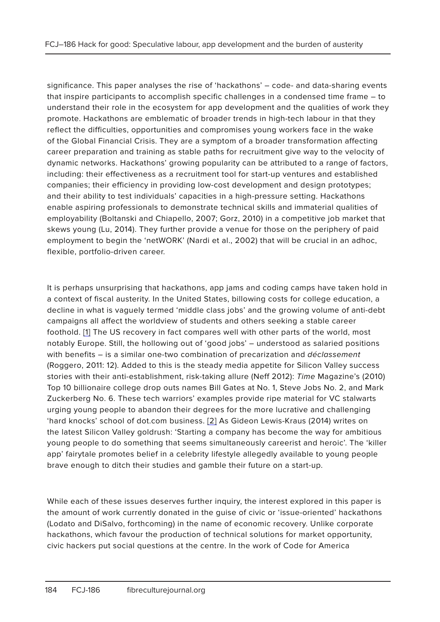significance. This paper analyses the rise of 'hackathons' – code- and data-sharing events that inspire participants to accomplish specific challenges in a condensed time frame – to understand their role in the ecosystem for app development and the qualities of work they promote. Hackathons are emblematic of broader trends in high-tech labour in that they reflect the difficulties, opportunities and compromises young workers face in the wake of the Global Financial Crisis. They are a symptom of a broader transformation affecting career preparation and training as stable paths for recruitment give way to the velocity of dynamic networks. Hackathons' growing popularity can be attributed to a range of factors, including: their effectiveness as a recruitment tool for start-up ventures and established companies; their efficiency in providing low-cost development and design prototypes; and their ability to test individuals' capacities in a high-pressure setting. Hackathons enable aspiring professionals to demonstrate technical skills and immaterial qualities of employability (Boltanski and Chiapello, 2007; Gorz, 2010) in a competitive job market that skews young (Lu, 2014). They further provide a venue for those on the periphery of paid employment to begin the 'netWORK' (Nardi et al., 2002) that will be crucial in an adhoc, flexible, portfolio-driven career.

It is perhaps unsurprising that hackathons, app jams and coding camps have taken hold in a context of fiscal austerity. In the United States, billowing costs for college education, a decline in what is vaguely termed 'middle class jobs' and the growing volume of anti-debt campaigns all affect the worldview of students and others seeking a stable career foothold. [1] The US recovery in fact compares well with other parts of the world, most notably Europe. Still, the hollowing out of 'good jobs' – understood as salaried positions with benefits - is a similar one-two combination of precarization and déclassement (Roggero, 2011: 12). Added to this is the steady media appetite for Silicon Valley success stories with their anti-establishment, risk-taking allure (Neff 2012): Time Magazine's (2010) Top 10 billionaire college drop outs names Bill Gates at No. 1, Steve Jobs No. 2, and Mark Zuckerberg No. 6. These tech warriors' examples provide ripe material for VC stalwarts urging young people to abandon their degrees for the more lucrative and challenging 'hard knocks' school of dot.com business. [2] As Gideon Lewis-Kraus (2014) writes on the latest Silicon Valley goldrush: 'Starting a company has become the way for ambitious young people to do something that seems simultaneously careerist and heroic'. The 'killer app' fairytale promotes belief in a celebrity lifestyle allegedly available to young people brave enough to ditch their studies and gamble their future on a start-up.

While each of these issues deserves further inquiry, the interest explored in this paper is the amount of work currently donated in the guise of civic or 'issue-oriented' hackathons (Lodato and DiSalvo, forthcoming) in the name of economic recovery. Unlike corporate hackathons, which favour the production of technical solutions for market opportunity, civic hackers put social questions at the centre. In the work of Code for America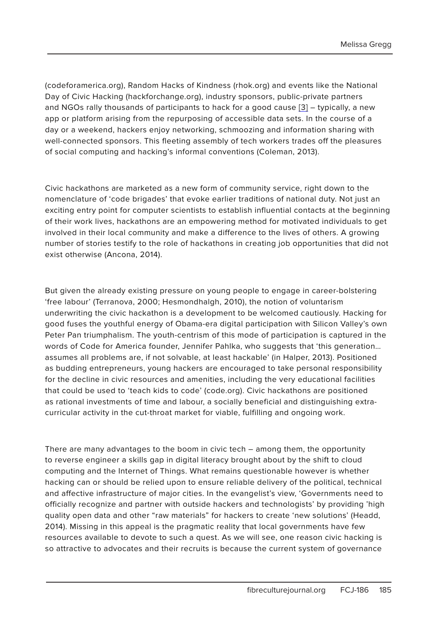Melissa Gregg

(codeforamerica.org), Random Hacks of Kindness (rhok.org) and events like the National Day of Civic Hacking (hackforchange.org), industry sponsors, public-private partners and NGOs rally thousands of participants to hack for a good cause [3] – typically, a new app or platform arising from the repurposing of accessible data sets. In the course of a day or a weekend, hackers enjoy networking, schmoozing and information sharing with well-connected sponsors. This fleeting assembly of tech workers trades off the pleasures of social computing and hacking's informal conventions (Coleman, 2013).

Civic hackathons are marketed as a new form of community service, right down to the nomenclature of 'code brigades' that evoke earlier traditions of national duty. Not just an exciting entry point for computer scientists to establish influential contacts at the beginning of their work lives, hackathons are an empowering method for motivated individuals to get involved in their local community and make a difference to the lives of others. A growing number of stories testify to the role of hackathons in creating job opportunities that did not exist otherwise (Ancona, 2014).

But given the already existing pressure on young people to engage in career-bolstering 'free labour' (Terranova, 2000; Hesmondhalgh, 2010), the notion of voluntarism underwriting the civic hackathon is a development to be welcomed cautiously. Hacking for good fuses the youthful energy of Obama-era digital participation with Silicon Valley's own Peter Pan triumphalism. The youth-centrism of this mode of participation is captured in the words of Code for America founder, Jennifer Pahlka, who suggests that 'this generation… assumes all problems are, if not solvable, at least hackable' (in Halper, 2013). Positioned as budding entrepreneurs, young hackers are encouraged to take personal responsibility for the decline in civic resources and amenities, including the very educational facilities that could be used to 'teach kids to code' (code.org). Civic hackathons are positioned as rational investments of time and labour, a socially beneficial and distinguishing extracurricular activity in the cut-throat market for viable, fulfilling and ongoing work.

There are many advantages to the boom in civic tech – among them, the opportunity to reverse engineer a skills gap in digital literacy brought about by the shift to cloud computing and the Internet of Things. What remains questionable however is whether hacking can or should be relied upon to ensure reliable delivery of the political, technical and affective infrastructure of major cities. In the evangelist's view, 'Governments need to officially recognize and partner with outside hackers and technologists' by providing 'high quality open data and other "raw materials" for hackers to create 'new solutions' (Headd, 2014). Missing in this appeal is the pragmatic reality that local governments have few resources available to devote to such a quest. As we will see, one reason civic hacking is so attractive to advocates and their recruits is because the current system of governance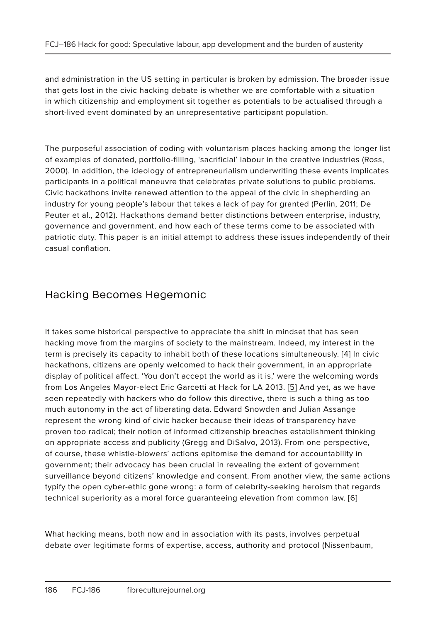and administration in the US setting in particular is broken by admission. The broader issue that gets lost in the civic hacking debate is whether we are comfortable with a situation in which citizenship and employment sit together as potentials to be actualised through a short-lived event dominated by an unrepresentative participant population.

The purposeful association of coding with voluntarism places hacking among the longer list of examples of donated, portfolio-filling, 'sacrificial' labour in the creative industries (Ross, 2000). In addition, the ideology of entrepreneurialism underwriting these events implicates participants in a political maneuvre that celebrates private solutions to public problems. Civic hackathons invite renewed attention to the appeal of the civic in shepherding an industry for young people's labour that takes a lack of pay for granted (Perlin, 2011; De Peuter et al., 2012). Hackathons demand better distinctions between enterprise, industry, governance and government, and how each of these terms come to be associated with patriotic duty. This paper is an initial attempt to address these issues independently of their casual conflation.

# Hacking Becomes Hegemonic

It takes some historical perspective to appreciate the shift in mindset that has seen hacking move from the margins of society to the mainstream. Indeed, my interest in the term is precisely its capacity to inhabit both of these locations simultaneously. [4] In civic hackathons, citizens are openly welcomed to hack their government, in an appropriate display of political affect. 'You don't accept the world as it is,' were the welcoming words from Los Angeles Mayor-elect Eric Garcetti at Hack for LA 2013. [5] And yet, as we have seen repeatedly with hackers who do follow this directive, there is such a thing as too much autonomy in the act of liberating data. Edward Snowden and Julian Assange represent the wrong kind of civic hacker because their ideas of transparency have proven too radical; their notion of informed citizenship breaches establishment thinking on appropriate access and publicity (Gregg and DiSalvo, 2013). From one perspective, of course, these whistle-blowers' actions epitomise the demand for accountability in government; their advocacy has been crucial in revealing the extent of government surveillance beyond citizens' knowledge and consent. From another view, the same actions typify the open cyber-ethic gone wrong: a form of celebrity-seeking heroism that regards technical superiority as a moral force guaranteeing elevation from common law. [6]

What hacking means, both now and in association with its pasts, involves perpetual debate over legitimate forms of expertise, access, authority and protocol (Nissenbaum,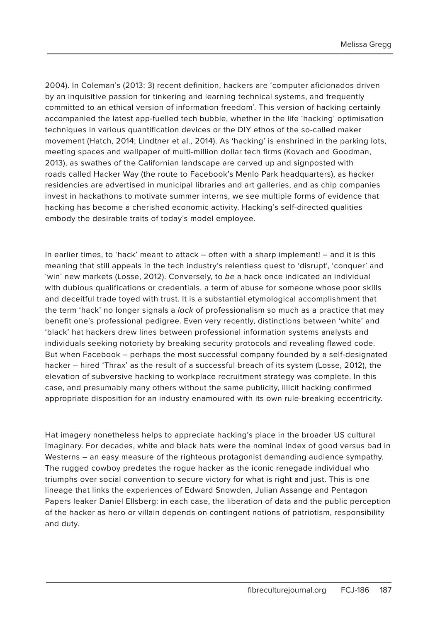Melissa Gregg

2004). In Coleman's (2013: 3) recent definition, hackers are 'computer aficionados driven by an inquisitive passion for tinkering and learning technical systems, and frequently committed to an ethical version of information freedom'. This version of hacking certainly accompanied the latest app-fuelled tech bubble, whether in the life 'hacking' optimisation techniques in various quantification devices or the DIY ethos of the so-called maker movement (Hatch, 2014; Lindtner et al., 2014). As 'hacking' is enshrined in the parking lots, meeting spaces and wallpaper of multi-million dollar tech firms (Kovach and Goodman, 2013), as swathes of the Californian landscape are carved up and signposted with roads called Hacker Way (the route to Facebook's Menlo Park headquarters), as hacker residencies are advertised in municipal libraries and art galleries, and as chip companies invest in hackathons to motivate summer interns, we see multiple forms of evidence that hacking has become a cherished economic activity. Hacking's self-directed qualities embody the desirable traits of today's model employee.

In earlier times, to 'hack' meant to attack – often with a sharp implement! – and it is this meaning that still appeals in the tech industry's relentless quest to 'disrupt', 'conquer' and 'win' new markets (Losse, 2012). Conversely, to be a hack once indicated an individual with dubious qualifications or credentials, a term of abuse for someone whose poor skills and deceitful trade toyed with trust. It is a substantial etymological accomplishment that the term 'hack' no longer signals a lack of professionalism so much as a practice that may benefit one's professional pedigree. Even very recently, distinctions between 'white' and 'black' hat hackers drew lines between professional information systems analysts and individuals seeking notoriety by breaking security protocols and revealing flawed code. But when Facebook – perhaps the most successful company founded by a self-designated hacker – hired 'Thrax' as the result of a successful breach of its system (Losse, 2012), the elevation of subversive hacking to workplace recruitment strategy was complete. In this case, and presumably many others without the same publicity, illicit hacking confirmed appropriate disposition for an industry enamoured with its own rule-breaking eccentricity.

Hat imagery nonetheless helps to appreciate hacking's place in the broader US cultural imaginary. For decades, white and black hats were the nominal index of good versus bad in Westerns – an easy measure of the righteous protagonist demanding audience sympathy. The rugged cowboy predates the rogue hacker as the iconic renegade individual who triumphs over social convention to secure victory for what is right and just. This is one lineage that links the experiences of Edward Snowden, Julian Assange and Pentagon Papers leaker Daniel Ellsberg: in each case, the liberation of data and the public perception of the hacker as hero or villain depends on contingent notions of patriotism, responsibility and duty.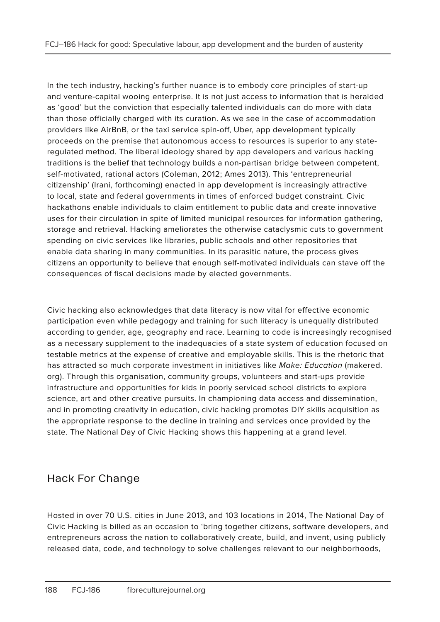In the tech industry, hacking's further nuance is to embody core principles of start-up and venture-capital wooing enterprise. It is not just access to information that is heralded as 'good' but the conviction that especially talented individuals can do more with data than those officially charged with its curation. As we see in the case of accommodation providers like AirBnB, or the taxi service spin-off, Uber, app development typically proceeds on the premise that autonomous access to resources is superior to any stateregulated method. The liberal ideology shared by app developers and various hacking traditions is the belief that technology builds a non-partisan bridge between competent, self-motivated, rational actors (Coleman, 2012; Ames 2013). This 'entrepreneurial citizenship' (Irani, forthcoming) enacted in app development is increasingly attractive to local, state and federal governments in times of enforced budget constraint. Civic hackathons enable individuals to claim entitlement to public data and create innovative uses for their circulation in spite of limited municipal resources for information gathering, storage and retrieval. Hacking ameliorates the otherwise cataclysmic cuts to government spending on civic services like libraries, public schools and other repositories that enable data sharing in many communities. In its parasitic nature, the process gives citizens an opportunity to believe that enough self-motivated individuals can stave off the consequences of fiscal decisions made by elected governments.

Civic hacking also acknowledges that data literacy is now vital for effective economic participation even while pedagogy and training for such literacy is unequally distributed according to gender, age, geography and race. Learning to code is increasingly recognised as a necessary supplement to the inadequacies of a state system of education focused on testable metrics at the expense of creative and employable skills. This is the rhetoric that has attracted so much corporate investment in initiatives like Make: Education (makered. org). Through this organisation, community groups, volunteers and start-ups provide infrastructure and opportunities for kids in poorly serviced school districts to explore science, art and other creative pursuits. In championing data access and dissemination, and in promoting creativity in education, civic hacking promotes DIY skills acquisition as the appropriate response to the decline in training and services once provided by the state. The National Day of Civic Hacking shows this happening at a grand level.

# Hack For Change

Hosted in over 70 U.S. cities in June 2013, and 103 locations in 2014, The National Day of Civic Hacking is billed as an occasion to 'bring together citizens, software developers, and entrepreneurs across the nation to collaboratively create, build, and invent, using publicly released data, code, and technology to solve challenges relevant to our neighborhoods,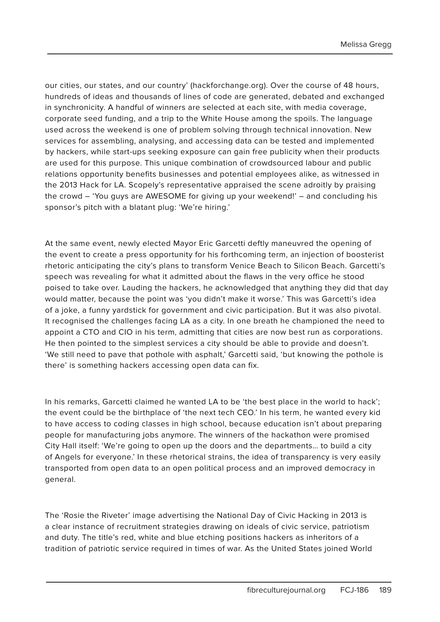our cities, our states, and our country' (hackforchange.org). Over the course of 48 hours, hundreds of ideas and thousands of lines of code are generated, debated and exchanged in synchronicity. A handful of winners are selected at each site, with media coverage, corporate seed funding, and a trip to the White House among the spoils. The language used across the weekend is one of problem solving through technical innovation. New services for assembling, analysing, and accessing data can be tested and implemented by hackers, while start-ups seeking exposure can gain free publicity when their products are used for this purpose. This unique combination of crowdsourced labour and public relations opportunity benefits businesses and potential employees alike, as witnessed in the 2013 Hack for LA. Scopely's representative appraised the scene adroitly by praising the crowd – 'You guys are AWESOME for giving up your weekend!' – and concluding his sponsor's pitch with a blatant plug: 'We're hiring.'

At the same event, newly elected Mayor Eric Garcetti deftly maneuvred the opening of the event to create a press opportunity for his forthcoming term, an injection of boosterist rhetoric anticipating the city's plans to transform Venice Beach to Silicon Beach. Garcetti's speech was revealing for what it admitted about the flaws in the very office he stood poised to take over. Lauding the hackers, he acknowledged that anything they did that day would matter, because the point was 'you didn't make it worse.' This was Garcetti's idea of a joke, a funny yardstick for government and civic participation. But it was also pivotal. It recognised the challenges facing LA as a city. In one breath he championed the need to appoint a CTO and CIO in his term, admitting that cities are now best run as corporations. He then pointed to the simplest services a city should be able to provide and doesn't. 'We still need to pave that pothole with asphalt,' Garcetti said, 'but knowing the pothole is there' is something hackers accessing open data can fix.

In his remarks, Garcetti claimed he wanted LA to be 'the best place in the world to hack'; the event could be the birthplace of 'the next tech CEO.' In his term, he wanted every kid to have access to coding classes in high school, because education isn't about preparing people for manufacturing jobs anymore. The winners of the hackathon were promised City Hall itself: 'We're going to open up the doors and the departments… to build a city of Angels for everyone.' In these rhetorical strains, the idea of transparency is very easily transported from open data to an open political process and an improved democracy in general.

The 'Rosie the Riveter' image advertising the National Day of Civic Hacking in 2013 is a clear instance of recruitment strategies drawing on ideals of civic service, patriotism and duty. The title's red, white and blue etching positions hackers as inheritors of a tradition of patriotic service required in times of war. As the United States joined World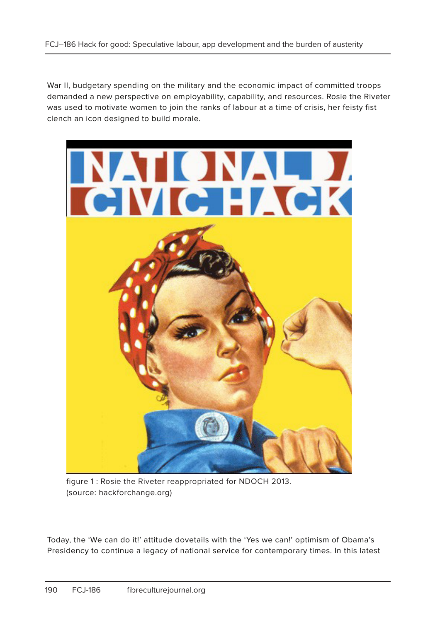War II, budgetary spending on the military and the economic impact of committed troops demanded a new perspective on employability, capability, and resources. Rosie the Riveter was used to motivate women to join the ranks of labour at a time of crisis, her feisty fist clench an icon designed to build morale.



figure 1 : Rosie the Riveter reappropriated for NDOCH 2013. (source: hackforchange.org)

Today, the 'We can do it!' attitude dovetails with the 'Yes we can!' optimism of Obama's Presidency to continue a legacy of national service for contemporary times. In this latest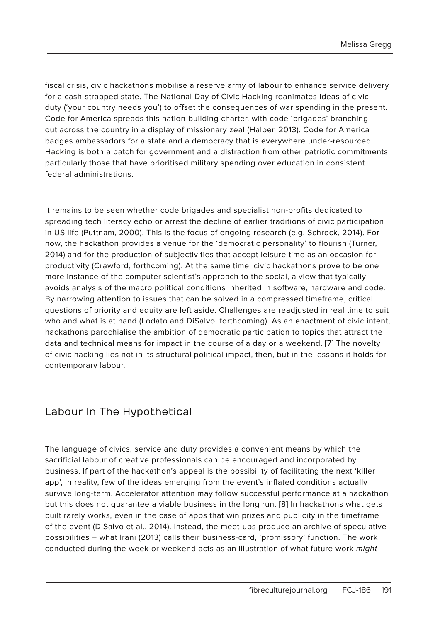fiscal crisis, civic hackathons mobilise a reserve army of labour to enhance service delivery for a cash-strapped state. The National Day of Civic Hacking reanimates ideas of civic duty ('your country needs you') to offset the consequences of war spending in the present. Code for America spreads this nation-building charter, with code 'brigades' branching out across the country in a display of missionary zeal (Halper, 2013). Code for America badges ambassadors for a state and a democracy that is everywhere under-resourced. Hacking is both a patch for government and a distraction from other patriotic commitments, particularly those that have prioritised military spending over education in consistent federal administrations.

It remains to be seen whether code brigades and specialist non-profits dedicated to spreading tech literacy echo or arrest the decline of earlier traditions of civic participation in US life (Puttnam, 2000). This is the focus of ongoing research (e.g. Schrock, 2014). For now, the hackathon provides a venue for the 'democratic personality' to flourish (Turner, 2014) and for the production of subjectivities that accept leisure time as an occasion for productivity (Crawford, forthcoming). At the same time, civic hackathons prove to be one more instance of the computer scientist's approach to the social, a view that typically avoids analysis of the macro political conditions inherited in software, hardware and code. By narrowing attention to issues that can be solved in a compressed timeframe, critical questions of priority and equity are left aside. Challenges are readjusted in real time to suit who and what is at hand (Lodato and DiSalvo, forthcoming). As an enactment of civic intent, hackathons parochialise the ambition of democratic participation to topics that attract the data and technical means for impact in the course of a day or a weekend. [7] The novelty of civic hacking lies not in its structural political impact, then, but in the lessons it holds for contemporary labour.

### Labour In The Hypothetical

The language of civics, service and duty provides a convenient means by which the sacrificial labour of creative professionals can be encouraged and incorporated by business. If part of the hackathon's appeal is the possibility of facilitating the next 'killer app', in reality, few of the ideas emerging from the event's inflated conditions actually survive long-term. Accelerator attention may follow successful performance at a hackathon but this does not guarantee a viable business in the long run. [8] In hackathons what gets built rarely works, even in the case of apps that win prizes and publicity in the timeframe of the event (DiSalvo et al., 2014). Instead, the meet-ups produce an archive of speculative possibilities – what Irani (2013) calls their business-card, 'promissory' function. The work conducted during the week or weekend acts as an illustration of what future work might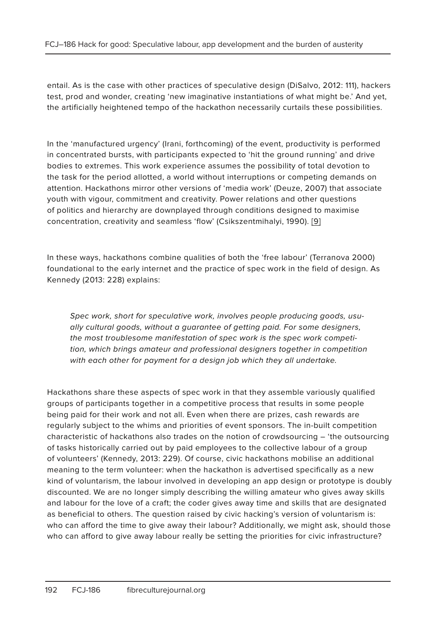entail. As is the case with other practices of speculative design (DiSalvo, 2012: 111), hackers test, prod and wonder, creating 'new imaginative instantiations of what might be.' And yet, the artificially heightened tempo of the hackathon necessarily curtails these possibilities.

In the 'manufactured urgency' (Irani, forthcoming) of the event, productivity is performed in concentrated bursts, with participants expected to 'hit the ground running' and drive bodies to extremes. This work experience assumes the possibility of total devotion to the task for the period allotted, a world without interruptions or competing demands on attention. Hackathons mirror other versions of 'media work' (Deuze, 2007) that associate youth with vigour, commitment and creativity. Power relations and other questions of politics and hierarchy are downplayed through conditions designed to maximise concentration, creativity and seamless 'flow' (Csikszentmihalyi, 1990). [9]

In these ways, hackathons combine qualities of both the 'free labour' (Terranova 2000) foundational to the early internet and the practice of spec work in the field of design. As Kennedy (2013: 228) explains:

Spec work, short for speculative work, involves people producing goods, usually cultural goods, without a guarantee of getting paid. For some designers, the most troublesome manifestation of spec work is the spec work competition, which brings amateur and professional designers together in competition with each other for payment for a design job which they all undertake.

Hackathons share these aspects of spec work in that they assemble variously qualified groups of participants together in a competitive process that results in some people being paid for their work and not all. Even when there are prizes, cash rewards are regularly subject to the whims and priorities of event sponsors. The in-built competition characteristic of hackathons also trades on the notion of crowdsourcing – 'the outsourcing of tasks historically carried out by paid employees to the collective labour of a group of volunteers' (Kennedy, 2013: 229). Of course, civic hackathons mobilise an additional meaning to the term volunteer: when the hackathon is advertised specifically as a new kind of voluntarism, the labour involved in developing an app design or prototype is doubly discounted. We are no longer simply describing the willing amateur who gives away skills and labour for the love of a craft; the coder gives away time and skills that are designated as beneficial to others. The question raised by civic hacking's version of voluntarism is: who can afford the time to give away their labour? Additionally, we might ask, should those who can afford to give away labour really be setting the priorities for civic infrastructure?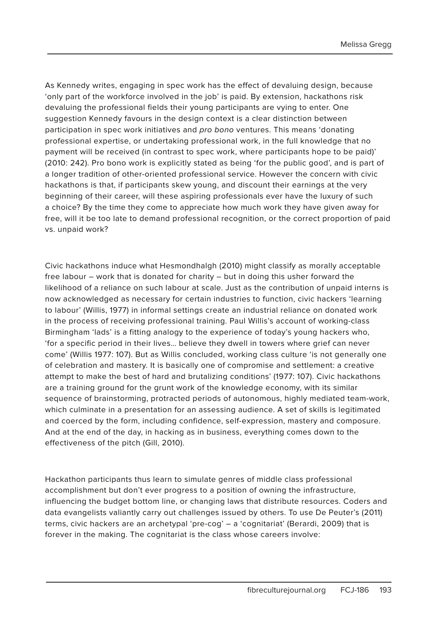As Kennedy writes, engaging in spec work has the effect of devaluing design, because 'only part of the workforce involved in the job' is paid. By extension, hackathons risk devaluing the professional fields their young participants are vying to enter. One suggestion Kennedy favours in the design context is a clear distinction between participation in spec work initiatives and pro bono ventures. This means 'donating professional expertise, or undertaking professional work, in the full knowledge that no payment will be received (in contrast to spec work, where participants hope to be paid)' (2010: 242). Pro bono work is explicitly stated as being 'for the public good', and is part of a longer tradition of other-oriented professional service. However the concern with civic hackathons is that, if participants skew young, and discount their earnings at the very beginning of their career, will these aspiring professionals ever have the luxury of such a choice? By the time they come to appreciate how much work they have given away for free, will it be too late to demand professional recognition, or the correct proportion of paid vs. unpaid work?

Civic hackathons induce what Hesmondhalgh (2010) might classify as morally acceptable free labour – work that is donated for charity – but in doing this usher forward the likelihood of a reliance on such labour at scale. Just as the contribution of unpaid interns is now acknowledged as necessary for certain industries to function, civic hackers 'learning to labour' (Willis, 1977) in informal settings create an industrial reliance on donated work in the process of receiving professional training. Paul Willis's account of working-class Birmingham 'lads' is a fitting analogy to the experience of today's young hackers who, 'for a specific period in their lives… believe they dwell in towers where grief can never come' (Willis 1977: 107). But as Willis concluded, working class culture 'is not generally one of celebration and mastery. It is basically one of compromise and settlement: a creative attempt to make the best of hard and brutalizing conditions' (1977: 107). Civic hackathons are a training ground for the grunt work of the knowledge economy, with its similar sequence of brainstorming, protracted periods of autonomous, highly mediated team-work, which culminate in a presentation for an assessing audience. A set of skills is legitimated and coerced by the form, including confidence, self-expression, mastery and composure. And at the end of the day, in hacking as in business, everything comes down to the effectiveness of the pitch (Gill, 2010).

Hackathon participants thus learn to simulate genres of middle class professional accomplishment but don't ever progress to a position of owning the infrastructure, influencing the budget bottom line, or changing laws that distribute resources. Coders and data evangelists valiantly carry out challenges issued by others. To use De Peuter's (2011) terms, civic hackers are an archetypal 'pre-cog' – a 'cognitariat' (Berardi, 2009) that is forever in the making. The cognitariat is the class whose careers involve: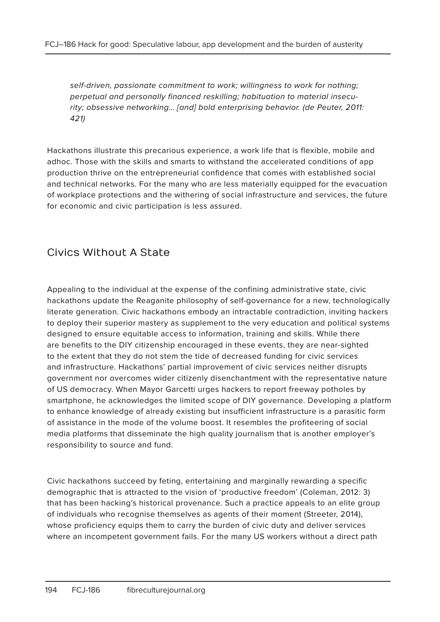self-driven, passionate commitment to work; willingness to work for nothing; perpetual and personally financed reskilling; habituation to material insecurity; obsessive networking… [and] bold enterprising behavior. (de Peuter, 2011: 421)

Hackathons illustrate this precarious experience, a work life that is flexible, mobile and adhoc. Those with the skills and smarts to withstand the accelerated conditions of app production thrive on the entrepreneurial confidence that comes with established social and technical networks. For the many who are less materially equipped for the evacuation of workplace protections and the withering of social infrastructure and services, the future for economic and civic participation is less assured.

# Civics Without A State

Appealing to the individual at the expense of the confining administrative state, civic hackathons update the Reaganite philosophy of self-governance for a new, technologically literate generation. Civic hackathons embody an intractable contradiction, inviting hackers to deploy their superior mastery as supplement to the very education and political systems designed to ensure equitable access to information, training and skills. While there are benefits to the DIY citizenship encouraged in these events, they are near-sighted to the extent that they do not stem the tide of decreased funding for civic services and infrastructure. Hackathons' partial improvement of civic services neither disrupts government nor overcomes wider citizenly disenchantment with the representative nature of US democracy. When Mayor Garcetti urges hackers to report freeway potholes by smartphone, he acknowledges the limited scope of DIY governance. Developing a platform to enhance knowledge of already existing but insufficient infrastructure is a parasitic form of assistance in the mode of the volume boost. It resembles the profiteering of social media platforms that disseminate the high quality journalism that is another employer's responsibility to source and fund.

Civic hackathons succeed by feting, entertaining and marginally rewarding a specific demographic that is attracted to the vision of 'productive freedom' (Coleman, 2012: 3) that has been hacking's historical provenance. Such a practice appeals to an elite group of individuals who recognise themselves as agents of their moment (Streeter, 2014), whose proficiency equips them to carry the burden of civic duty and deliver services where an incompetent government fails. For the many US workers without a direct path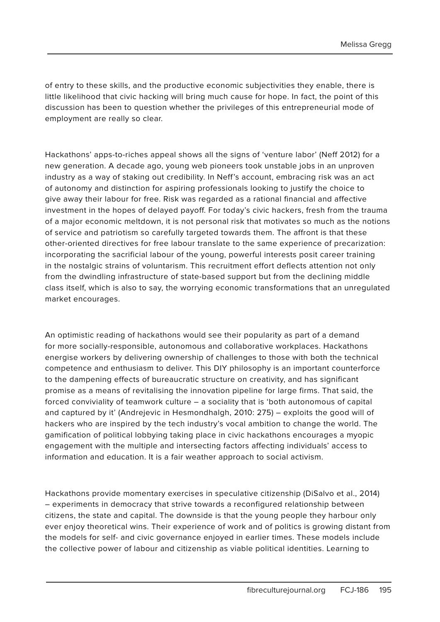of entry to these skills, and the productive economic subjectivities they enable, there is little likelihood that civic hacking will bring much cause for hope. In fact, the point of this discussion has been to question whether the privileges of this entrepreneurial mode of employment are really so clear.

Hackathons' apps-to-riches appeal shows all the signs of 'venture labor' (Neff 2012) for a new generation. A decade ago, young web pioneers took unstable jobs in an unproven industry as a way of staking out credibility. In Neff's account, embracing risk was an act of autonomy and distinction for aspiring professionals looking to justify the choice to give away their labour for free. Risk was regarded as a rational financial and affective investment in the hopes of delayed payoff. For today's civic hackers, fresh from the trauma of a major economic meltdown, it is not personal risk that motivates so much as the notions of service and patriotism so carefully targeted towards them. The affront is that these other-oriented directives for free labour translate to the same experience of precarization: incorporating the sacrificial labour of the young, powerful interests posit career training in the nostalgic strains of voluntarism. This recruitment effort deflects attention not only from the dwindling infrastructure of state-based support but from the declining middle class itself, which is also to say, the worrying economic transformations that an unregulated market encourages.

An optimistic reading of hackathons would see their popularity as part of a demand for more socially-responsible, autonomous and collaborative workplaces. Hackathons energise workers by delivering ownership of challenges to those with both the technical competence and enthusiasm to deliver. This DIY philosophy is an important counterforce to the dampening effects of bureaucratic structure on creativity, and has significant promise as a means of revitalising the innovation pipeline for large firms. That said, the forced conviviality of teamwork culture – a sociality that is 'both autonomous of capital and captured by it' (Andrejevic in Hesmondhalgh, 2010: 275) – exploits the good will of hackers who are inspired by the tech industry's vocal ambition to change the world. The gamification of political lobbying taking place in civic hackathons encourages a myopic engagement with the multiple and intersecting factors affecting individuals' access to information and education. It is a fair weather approach to social activism.

Hackathons provide momentary exercises in speculative citizenship (DiSalvo et al., 2014) – experiments in democracy that strive towards a reconfigured relationship between citizens, the state and capital. The downside is that the young people they harbour only ever enjoy theoretical wins. Their experience of work and of politics is growing distant from the models for self- and civic governance enjoyed in earlier times. These models include the collective power of labour and citizenship as viable political identities. Learning to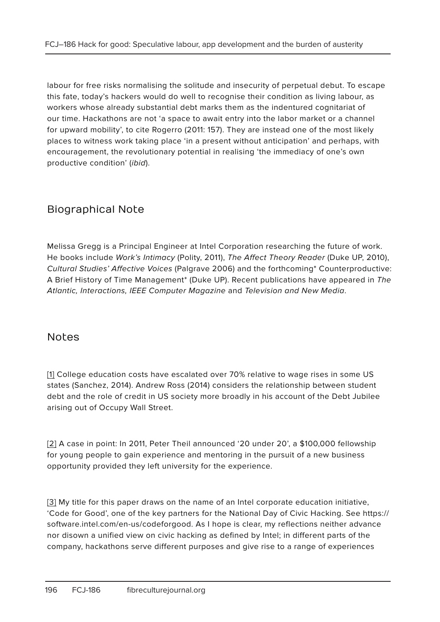labour for free risks normalising the solitude and insecurity of perpetual debut. To escape this fate, today's hackers would do well to recognise their condition as living labour, as workers whose already substantial debt marks them as the indentured cognitariat of our time. Hackathons are not 'a space to await entry into the labor market or a channel for upward mobility', to cite Rogerro (2011: 157). They are instead one of the most likely places to witness work taking place 'in a present without anticipation' and perhaps, with encouragement, the revolutionary potential in realising 'the immediacy of one's own productive condition' (ibid).

# Biographical Note

Melissa Gregg is a Principal Engineer at Intel Corporation researching the future of work. He books include Work's Intimacy (Polity, 2011), The Affect Theory Reader (Duke UP, 2010), Cultural Studies' Affective Voices (Palgrave 2006) and the forthcoming\* Counterproductive: A Brief History of Time Management\* (Duke UP). Recent publications have appeared in The Atlantic, Interactions, IEEE Computer Magazine and Television and New Media.

### Notes

[1] College education costs have escalated over 70% relative to wage rises in some US states (Sanchez, 2014). Andrew Ross (2014) considers the relationship between student debt and the role of credit in US society more broadly in his account of the Debt Jubilee arising out of Occupy Wall Street.

[2] A case in point: In 2011, Peter Theil announced '20 under 20', a \$100,000 fellowship for young people to gain experience and mentoring in the pursuit of a new business opportunity provided they left university for the experience.

[3] My title for this paper draws on the name of an Intel corporate education initiative, 'Code for Good', one of the key partners for the National Day of Civic Hacking. See https:// software.intel.com/en-us/codeforgood. As I hope is clear, my reflections neither advance nor disown a unified view on civic hacking as defined by Intel; in different parts of the company, hackathons serve different purposes and give rise to a range of experiences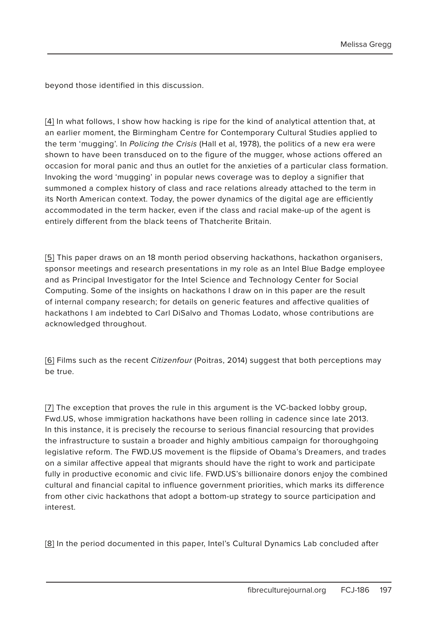beyond those identified in this discussion.

[4] In what follows, I show how hacking is ripe for the kind of analytical attention that, at an earlier moment, the Birmingham Centre for Contemporary Cultural Studies applied to the term 'mugging'. In Policing the Crisis (Hall et al, 1978), the politics of a new era were shown to have been transduced on to the figure of the mugger, whose actions offered an occasion for moral panic and thus an outlet for the anxieties of a particular class formation. Invoking the word 'mugging' in popular news coverage was to deploy a signifier that summoned a complex history of class and race relations already attached to the term in its North American context. Today, the power dynamics of the digital age are efficiently accommodated in the term hacker, even if the class and racial make-up of the agent is entirely different from the black teens of Thatcherite Britain.

[5] This paper draws on an 18 month period observing hackathons, hackathon organisers, sponsor meetings and research presentations in my role as an Intel Blue Badge employee and as Principal Investigator for the Intel Science and Technology Center for Social Computing. Some of the insights on hackathons I draw on in this paper are the result of internal company research; for details on generic features and affective qualities of hackathons I am indebted to Carl DiSalvo and Thomas Lodato, whose contributions are acknowledged throughout.

[6] Films such as the recent *Citizenfour* (Poitras, 2014) suggest that both perceptions may be true.

[7] The exception that proves the rule in this argument is the VC-backed lobby group, Fwd.US, whose immigration hackathons have been rolling in cadence since late 2013. In this instance, it is precisely the recourse to serious financial resourcing that provides the infrastructure to sustain a broader and highly ambitious campaign for thoroughgoing legislative reform. The FWD.US movement is the flipside of Obama's Dreamers, and trades on a similar affective appeal that migrants should have the right to work and participate fully in productive economic and civic life. FWD.US's billionaire donors enjoy the combined cultural and financial capital to influence government priorities, which marks its difference from other civic hackathons that adopt a bottom-up strategy to source participation and interest.

[8] In the period documented in this paper, Intel's Cultural Dynamics Lab concluded after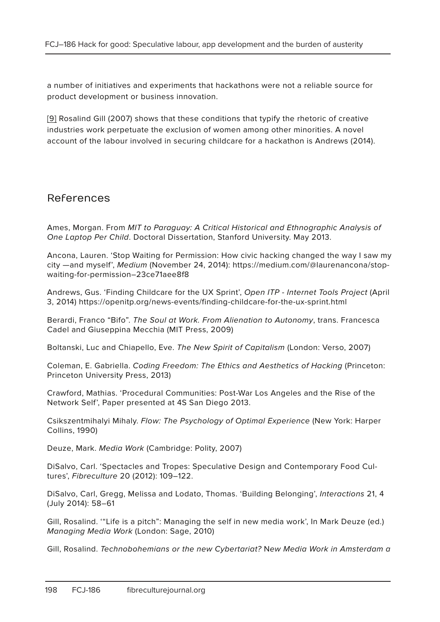a number of initiatives and experiments that hackathons were not a reliable source for product development or business innovation.

[9] Rosalind Gill (2007) shows that these conditions that typify the rhetoric of creative industries work perpetuate the exclusion of women among other minorities. A novel account of the labour involved in securing childcare for a hackathon is Andrews (2014).

#### References

Ames, Morgan. From MIT to Paraguay: A Critical Historical and Ethnographic Analysis of One Laptop Per Child. Doctoral Dissertation, Stanford University. May 2013.

Ancona, Lauren. 'Stop Waiting for Permission: How civic hacking changed the way I saw my city —and myself', Medium (November 24, 2014): https://medium.com/@laurenancona/stopwaiting-for-permission–23ce71aee8f8

Andrews, Gus. 'Finding Childcare for the UX Sprint', Open ITP - Internet Tools Project (April 3, 2014) https://openitp.org/news-events/finding-childcare-for-the-ux-sprint.html

Berardi, Franco "Bifo". The Soul at Work. From Alienation to Autonomy, trans. Francesca Cadel and Giuseppina Mecchia (MIT Press, 2009)

Boltanski, Luc and Chiapello, Eve. The New Spirit of Capitalism (London: Verso, 2007)

Coleman, E. Gabriella. Coding Freedom: The Ethics and Aesthetics of Hacking (Princeton: Princeton University Press, 2013)

Crawford, Mathias. 'Procedural Communities: Post-War Los Angeles and the Rise of the Network Self', Paper presented at 4S San Diego 2013.

Csikszentmihalyi Mihaly. Flow: The Psychology of Optimal Experience (New York: Harper Collins, 1990)

Deuze, Mark. Media Work (Cambridge: Polity, 2007)

DiSalvo, Carl. 'Spectacles and Tropes: Speculative Design and Contemporary Food Cultures', Fibreculture 20 (2012): 109–122.

DiSalvo, Carl, Gregg, Melissa and Lodato, Thomas. 'Building Belonging', Interactions 21, 4 (July 2014): 58–61

Gill, Rosalind. '"Life is a pitch": Managing the self in new media work', In Mark Deuze (ed.) Managing Media Work (London: Sage, 2010)

Gill, Rosalind. Technobohemians or the new Cybertariat? New Media Work in Amsterdam a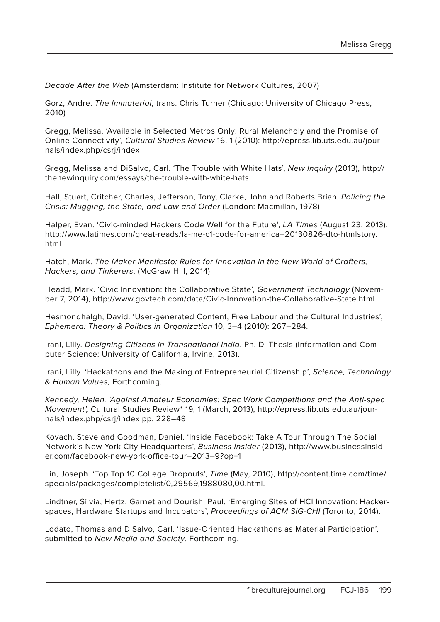Decade After the Web (Amsterdam: Institute for Network Cultures, 2007)

Gorz, Andre. The Immaterial, trans. Chris Turner (Chicago: University of Chicago Press, 2010)

Gregg, Melissa. 'Available in Selected Metros Only: Rural Melancholy and the Promise of Online Connectivity', Cultural Studies Review 16, 1 (2010): http://epress.lib.uts.edu.au/journals/index.php/csrj/index

Gregg, Melissa and DiSalvo, Carl. 'The Trouble with White Hats', New Inquiry (2013), http:// thenewinquiry.com/essays/the-trouble-with-white-hats

Hall, Stuart, Critcher, Charles, Jefferson, Tony, Clarke, John and Roberts,Brian. Policing the Crisis: Mugging, the State, and Law and Order (London: Macmillan, 1978)

Halper, Evan. 'Civic-minded Hackers Code Well for the Future', LA Times (August 23, 2013), http://www.latimes.com/great-reads/la-me-c1-code-for-america–20130826-dto-htmlstory. html

Hatch, Mark. The Maker Manifesto: Rules for Innovation in the New World of Crafters, Hackers, and Tinkerers. (McGraw Hill, 2014)

Headd, Mark. 'Civic Innovation: the Collaborative State', Government Technology (November 7, 2014), http://www.govtech.com/data/Civic-Innovation-the-Collaborative-State.html

Hesmondhalgh, David. 'User-generated Content, Free Labour and the Cultural Industries', Ephemera: Theory & Politics in Organization 10, 3–4 (2010): 267–284.

Irani, Lilly. Designing Citizens in Transnational India. Ph. D. Thesis (Information and Computer Science: University of California, Irvine, 2013).

Irani, Lilly. 'Hackathons and the Making of Entrepreneurial Citizenship', Science, Technology & Human Values, Forthcoming.

Kennedy, Helen. 'Against Amateur Economies: Spec Work Competitions and the Anti-spec Movement', Cultural Studies Review\* 19, 1 (March, 2013), http://epress.lib.uts.edu.au/journals/index.php/csrj/index pp. 228–48

Kovach, Steve and Goodman, Daniel. 'Inside Facebook: Take A Tour Through The Social Network's New York City Headquarters', Business Insider (2013), http://www.businessinsider.com/facebook-new-york-office-tour–2013–9?op=1

Lin, Joseph. 'Top Top 10 College Dropouts', Time (May, 2010), http://content.time.com/time/ specials/packages/completelist/0,29569,1988080,00.html.

Lindtner, Silvia, Hertz, Garnet and Dourish, Paul. 'Emerging Sites of HCI Innovation: Hackerspaces, Hardware Startups and Incubators', Proceedings of ACM SIG-CHI (Toronto, 2014).

Lodato, Thomas and DiSalvo, Carl. 'Issue-Oriented Hackathons as Material Participation', submitted to New Media and Society. Forthcoming.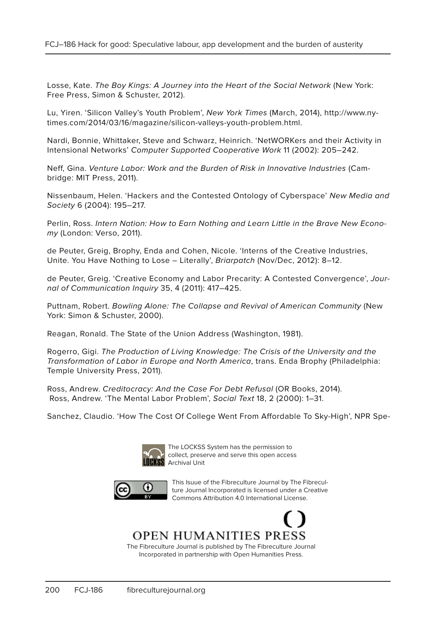Losse, Kate. The Boy Kings: A Journey into the Heart of the Social Network (New York: Free Press, Simon & Schuster, 2012).

Lu, Yiren. 'Silicon Valley's Youth Problem', New York Times (March, 2014), http://www.nytimes.com/2014/03/16/magazine/silicon-valleys-youth-problem.html.

Nardi, Bonnie, Whittaker, Steve and Schwarz, Heinrich. 'NetWORKers and their Activity in Intensional Networks' Computer Supported Cooperative Work 11 (2002): 205–242.

Neff, Gina. Venture Labor: Work and the Burden of Risk in Innovative Industries (Cambridge: MIT Press, 2011).

Nissenbaum, Helen. 'Hackers and the Contested Ontology of Cyberspace' New Media and Society 6 (2004): 195–217.

Perlin, Ross. Intern Nation: How to Earn Nothing and Learn Little in the Brave New Economy (London: Verso, 2011).

de Peuter, Greig, Brophy, Enda and Cohen, Nicole. 'Interns of the Creative Industries, Unite. You Have Nothing to Lose – Literally', Briarpatch (Nov/Dec, 2012): 8–12.

de Peuter, Greig. 'Creative Economy and Labor Precarity: A Contested Convergence', Journal of Communication Inquiry 35, 4 (2011): 417–425.

Puttnam, Robert. Bowling Alone: The Collapse and Revival of American Community (New York: Simon & Schuster, 2000).

Reagan, Ronald. The State of the Union Address (Washington, 1981).

Rogerro, Gigi. The Production of Living Knowledge: The Crisis of the University and the Transformation of Labor in Europe and North America, trans. Enda Brophy (Philadelphia: Temple University Press, 2011).

Ross, Andrew. Creditocracy: And the Case For Debt Refusal (OR Books, 2014). Ross, Andrew. 'The Mental Labor Problem', Social Text 18, 2 (2000): 1–31.

Sanchez, Claudio. 'How The Cost Of College Went From Affordable To Sky-High', NPR Spe-



The LOCKSS System has the permission to collect, preserve and serve this open access **Archival Unit** 



This Isuue of the Fibreculture Journal by The Fibreculture Journal Incorporated is licensed under a Creative Commons Attribution 4.0 International License.

**OPEN HUMANITIES PRESS** 

The Fibreculture Journal is published by The Fibreculture Journal Incorporated in partnership with Open Humanities Press.